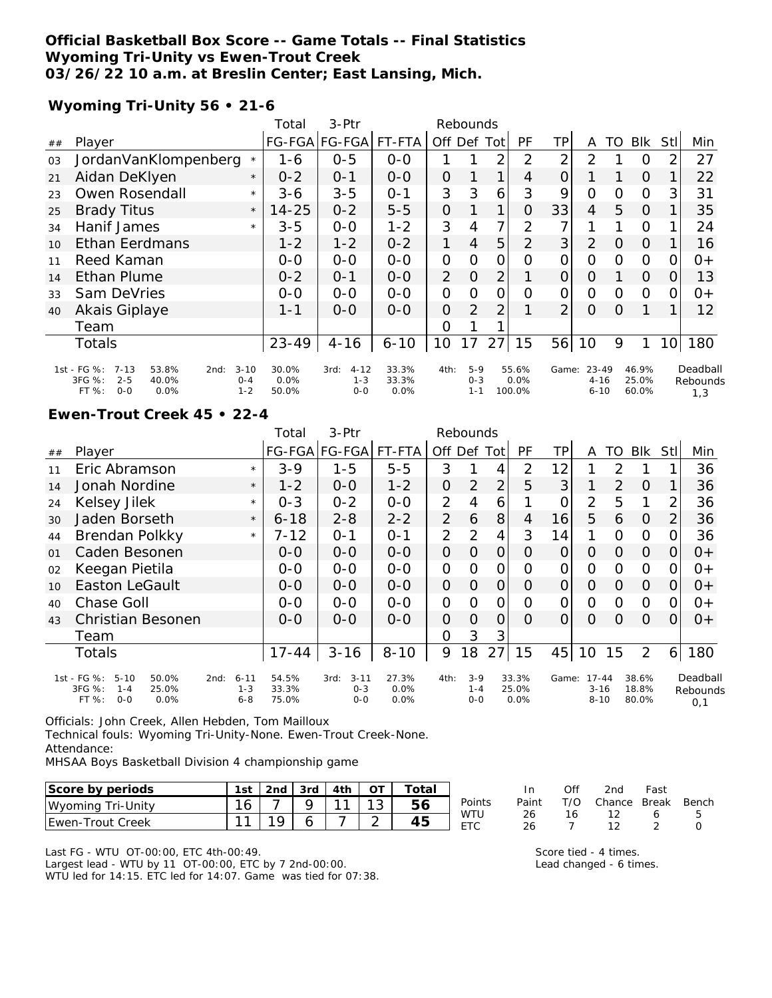## **Official Basketball Box Score -- Game Totals -- Final Statistics Wyoming Tri-Unity vs Ewen-Trout Creek 03/26/22 10 a.m. at Breslin Center; East Lansing, Mich.**

### **Wyoming Tri-Unity 56 • 21-6**

|    |                                                                                                                          |          | Total                  | 3-Ptr                                  |                        |                | Rebounds                    |                |                         |                |                                   |          |                         |                 |                             |
|----|--------------------------------------------------------------------------------------------------------------------------|----------|------------------------|----------------------------------------|------------------------|----------------|-----------------------------|----------------|-------------------------|----------------|-----------------------------------|----------|-------------------------|-----------------|-----------------------------|
| ## | Player                                                                                                                   |          |                        | FG-FGA FG-FGA                          | FT-FTA                 | Off            | Def                         | Tot            | <b>PF</b>               | TР             | Α                                 | TO       | <b>BIK</b>              | Stll            | Min                         |
| 03 | JordanVanKlompenberg                                                                                                     | $\star$  | 1-6                    | $0 - 5$                                | $0-0$                  |                |                             | $\overline{2}$ | 2                       | 2              | 2                                 |          | 0                       | $\overline{2}$  | 27                          |
| 21 | Aidan DeKlyen                                                                                                            | $\star$  | $0 - 2$                | $0 - 1$                                | $0 - 0$                | $\Omega$       |                             | 1              | 4                       | 0              |                                   |          | $\Omega$                |                 | 22                          |
| 23 | Owen Rosendall                                                                                                           | $\star$  | 3-6                    | $3 - 5$                                | $0 - 1$                | 3              | 3                           | 6              | 3                       | 9              | $\overline{O}$                    | 0        | $\mathbf 0$             | 3               | 31                          |
| 25 | <b>Brady Titus</b>                                                                                                       | $\star$  | $14 - 25$              | $0 - 2$                                | $5 - 5$                | $\overline{O}$ |                             | 1              | O                       | 33             | $\overline{4}$                    | 5        | $\Omega$                |                 | 35                          |
| 34 | Hanif James                                                                                                              | $\star$  | $3 - 5$                | $O-O$                                  | $1 - 2$                | 3              | 4                           | 7              | 2                       | 7              |                                   |          | $\Omega$                |                 | 24                          |
| 10 | Ethan Eerdmans                                                                                                           |          | $1 - 2$                | $1 - 2$                                | $0 - 2$                | 1              | 4                           | 5              | $\overline{2}$          | 3              | $\overline{2}$                    | $\Omega$ | $\Omega$                |                 | 16                          |
| 11 | Reed Kaman                                                                                                               |          | $0-0$                  | $O-O$                                  | $0-0$                  | $\mathcal{O}$  | O                           | O              | 0                       | 0              | O                                 | 0        | $\Omega$                | $\Omega$        | $0+$                        |
| 14 | <b>Ethan Plume</b>                                                                                                       |          | $0 - 2$                | $0 - 1$                                | $0-0$                  | $\overline{2}$ | $\Omega$                    | 2              |                         | 0              | O                                 |          | $\Omega$                | O               | 13                          |
| 33 | Sam DeVries                                                                                                              |          | $0-0$                  | $O-O$                                  | $0-0$                  | $\mathbf{O}$   | $\Omega$                    | $\mathcal{O}$  | $\Omega$                | 0              | O                                 | Ω        | $\Omega$                | 0               | $0+$                        |
| 40 | Akais Giplaye                                                                                                            |          | $1 - 1$                | $0 - 0$                                | $0-0$                  | $\overline{O}$ | 2                           | $\overline{2}$ |                         | $\overline{2}$ | $\Omega$                          | $\Omega$ |                         |                 | 12                          |
|    | Team                                                                                                                     |          |                        |                                        |                        | O              |                             |                |                         |                |                                   |          |                         |                 |                             |
|    | <b>Totals</b>                                                                                                            |          | 23-49                  | $4 - 16$                               | $6 - 10$               | 10             | 17                          | 27             | 15                      | 56             | 10                                | 9        | 1                       | 10 <sup>1</sup> | 180                         |
|    | 1st - FG %:<br>$7 - 13$<br>53.8%<br>2nd:<br>3FG %:<br>$2 - 5$<br>40.0%<br>$O - 4$<br>FT %:<br>$O - O$<br>0.0%<br>$1 - 2$ | $3 - 10$ | 30.0%<br>0.0%<br>50.0% | $4 - 12$<br>3rd:<br>$1 - 3$<br>$0 - 0$ | 33.3%<br>33.3%<br>0.0% | 4th:           | $5-9$<br>$0 - 3$<br>$1 - 1$ |                | 55.6%<br>0.0%<br>100.0% | Game:          | $23 - 49$<br>$4 - 16$<br>$6 - 10$ |          | 46.9%<br>25.0%<br>60.0% |                 | Deadball<br>Rebounds<br>1,3 |

#### **Ewen-Trout Creek 45 • 22-4**

|    |                                                                                                  |                                | Total                   | 3-Ptr                                  |                       |                | Rebounds                    |                |                        |                |                                   |               |                         |                |                             |
|----|--------------------------------------------------------------------------------------------------|--------------------------------|-------------------------|----------------------------------------|-----------------------|----------------|-----------------------------|----------------|------------------------|----------------|-----------------------------------|---------------|-------------------------|----------------|-----------------------------|
| ## | Player                                                                                           |                                |                         | FG-FGA FG-FGA                          | FT-FTA                | Off Def Tot    |                             |                | <b>PF</b>              | TPI            | A                                 | TO            | Blk                     | Stll           | Min                         |
| 11 | Eric Abramson                                                                                    | $\star$                        | $3-9$                   | $1 - 5$                                | $5-5$                 | 3              |                             | 4              | 2                      | 12             |                                   | $\mathcal{P}$ |                         |                | 36                          |
| 14 | Jonah Nordine                                                                                    | $\star$                        | $1 - 2$                 | $O-O$                                  | $1 - 2$               | 0              | $\overline{2}$              | $\overline{2}$ | 5                      | 3              |                                   | 2             | $\Omega$                |                | 36                          |
| 24 | Kelsey Jilek                                                                                     | $\star$                        | $0 - 3$                 | $0 - 2$                                | $0 - 0$               | $\overline{2}$ | 4                           | 6              |                        | O              | $\overline{2}$                    | 5             | 1                       | 2              | 36                          |
| 30 | Jaden Borseth                                                                                    | $\star$                        | $6 - 18$                | $2 - 8$                                | $2 - 2$               | $\overline{2}$ | 6                           | 8              | 4                      | 16             | 5                                 | 6             | O                       | $\overline{2}$ | 36                          |
| 44 | Brendan Polkky                                                                                   | $\star$                        | $7 - 12$                | $0 - 1$                                | $0 - 1$               | $\overline{2}$ | $\overline{2}$              | $\overline{4}$ | 3                      | 14             | 1                                 | $\Omega$      | O                       | 0              | 36                          |
| 01 | Caden Besonen                                                                                    |                                | $0 - 0$                 | $O-O$                                  | $0-0$                 | $\overline{O}$ | $\Omega$                    | $\overline{O}$ | 0                      | 0              | $\Omega$                          | 0             | $\Omega$                | $\Omega$       | $0+$                        |
| 02 | Keegan Pietila                                                                                   |                                | $0-0$                   | $0-0$                                  | $O-O$                 | $\mathcal{O}$  | O                           | $\mathcal{O}$  | Ω                      | $\mathcal{O}$  | 0                                 | O             | $\Omega$                | 0              | 0+                          |
| 10 | <b>Easton LeGault</b>                                                                            |                                | $O - O$                 | $0 - 0$                                | $0-0$                 | $\overline{O}$ | $\overline{O}$              | $\overline{O}$ | O                      | $\overline{O}$ | $\overline{O}$                    | 0             | $\Omega$                | $\Omega$       | $0+$                        |
| 40 | Chase Goll                                                                                       |                                | $0 - 0$                 | $0-0$                                  | $0-0$                 | $\Omega$       | $\Omega$                    | $\Omega$       | $\circ$                | $\Omega$       | $\Omega$                          | $\Omega$      | $\Omega$                | 0              | $O+$                        |
| 43 | Christian Besonen                                                                                |                                | $0 - 0$                 | $0-0$                                  | $0-0$                 | $\overline{O}$ | $\Omega$                    | $\overline{O}$ | $\Omega$               | 0              | $\Omega$                          | Ω             | $\Omega$                | 0              | $0+$                        |
|    | Team                                                                                             |                                |                         |                                        |                       | $\Omega$       | 3                           | 3              |                        |                |                                   |               |                         |                |                             |
|    | <b>Totals</b>                                                                                    |                                | $17 - 44$               | $3 - 16$                               | $8 - 10$              | 9              | 18                          | 27             | 15                     | 45             | 10                                | 15            | 2                       | 6 <sup>1</sup> | 180                         |
|    | 1st - FG %:<br>$5 - 10$<br>50.0%<br>2nd:<br>3FG %:<br>25.0%<br>$1 - 4$<br>FT%<br>$0 - 0$<br>0.0% | $6 - 11$<br>$1 - 3$<br>$6 - 8$ | 54.5%<br>33.3%<br>75.0% | $3 - 11$<br>3rd:<br>$0 - 3$<br>$0 - 0$ | 27.3%<br>0.0%<br>0.0% | 4th:           | $3-9$<br>$1 - 4$<br>$0 - 0$ |                | 33.3%<br>25.0%<br>0.0% | Game:          | $17 - 44$<br>$3 - 16$<br>$8 - 10$ |               | 38.6%<br>18.8%<br>80.0% |                | Deadball<br>Rebounds<br>0,1 |

Officials: John Creek, Allen Hebden, Tom Mailloux Technical fouls: Wyoming Tri-Unity-None. Ewen-Trout Creek-None. Attendance:

MHSAA Boys Basketball Division 4 championship game

| Score by periods     | 1st i | Pnd ∶ | 3rd | 4 <sup>th</sup> | ОT          | otal |                                      | In              | Off | 2nd    | Fast  |       |
|----------------------|-------|-------|-----|-----------------|-------------|------|--------------------------------------|-----------------|-----|--------|-------|-------|
| Wyoming<br>Tri-Unitv | C     |       |     |                 | $\sim$<br>◡ | 56   | Points                               | Paint<br>$\sim$ |     | Chance | Break | Bench |
| Ewen-Trout Creek     |       |       |     |                 | $\sim$      | 45   | <b>WTU</b><br>FT <sub>O</sub><br>LIV | 26              |     |        | ັ     |       |

Last FG - WTU OT-00:00, ETC 4th-00:49. Largest lead - WTU by 11 OT-00:00, ETC by 7 2nd-00:00. WTU led for 14:15. ETC led for 14:07. Game was tied for 07:38. Score tied - 4 times. Lead changed - 6 times.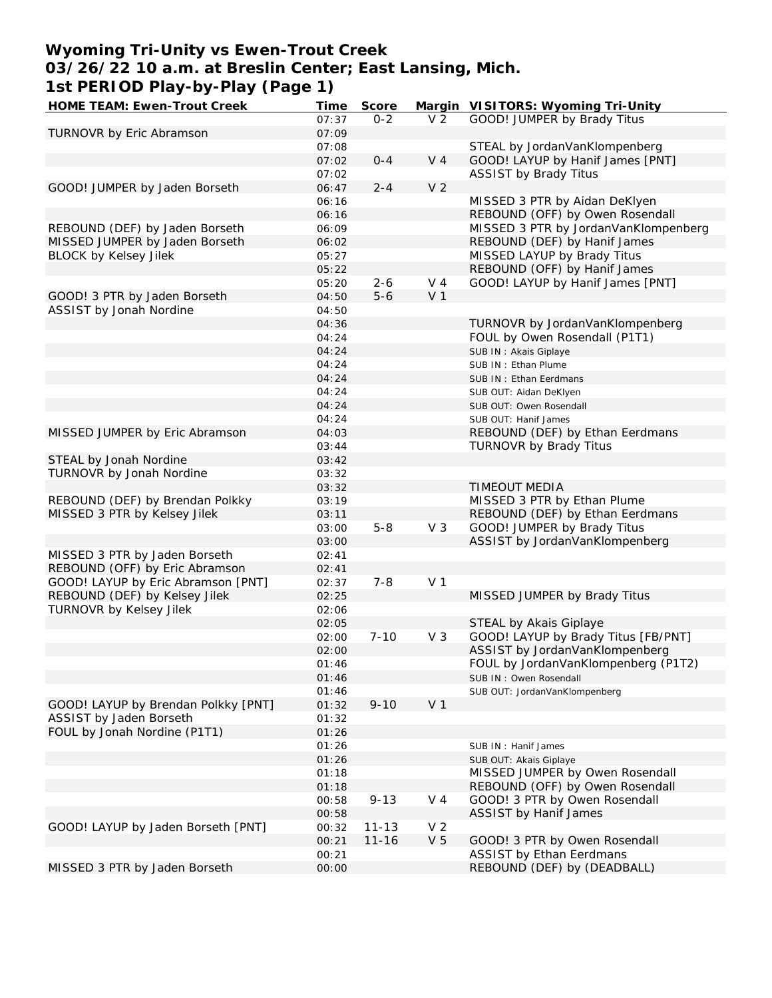## **Wyoming Tri-Unity vs Ewen-Trout Creek 03/26/22 10 a.m. at Breslin Center; East Lansing, Mich. 1st PERIOD Play-by-Play (Page 1)**

| HOME TEAM: Ewen-Trout Creek         | Time  | Score     |                | Margin VISITORS: Wyoming Tri-Unity   |
|-------------------------------------|-------|-----------|----------------|--------------------------------------|
|                                     | 07:37 | $0 - 2$   | V <sub>2</sub> | GOOD! JUMPER by Brady Titus          |
| TURNOVR by Eric Abramson            | 07:09 |           |                |                                      |
|                                     | 07:08 |           |                | STEAL by JordanVanKlompenberg        |
|                                     | 07:02 | $0 - 4$   | V <sub>4</sub> | GOOD! LAYUP by Hanif James [PNT]     |
|                                     | 07:02 |           |                | <b>ASSIST by Brady Titus</b>         |
|                                     |       |           |                |                                      |
| GOOD! JUMPER by Jaden Borseth       | 06:47 | $2 - 4$   | V <sub>2</sub> |                                      |
|                                     | 06:16 |           |                | MISSED 3 PTR by Aidan DeKlyen        |
|                                     | 06:16 |           |                | REBOUND (OFF) by Owen Rosendall      |
| REBOUND (DEF) by Jaden Borseth      | 06:09 |           |                | MISSED 3 PTR by JordanVanKlompenberg |
| MISSED JUMPER by Jaden Borseth      | 06:02 |           |                | REBOUND (DEF) by Hanif James         |
| <b>BLOCK by Kelsey Jilek</b>        | 05:27 |           |                | MISSED LAYUP by Brady Titus          |
|                                     | 05:22 |           |                | REBOUND (OFF) by Hanif James         |
|                                     | 05:20 | $2 - 6$   | V 4            | GOOD! LAYUP by Hanif James [PNT]     |
| GOOD! 3 PTR by Jaden Borseth        | 04:50 | $5 - 6$   | V <sub>1</sub> |                                      |
| ASSIST by Jonah Nordine             |       |           |                |                                      |
|                                     | 04:50 |           |                |                                      |
|                                     | 04:36 |           |                | TURNOVR by JordanVanKlompenberg      |
|                                     | 04:24 |           |                | FOUL by Owen Rosendall (P1T1)        |
|                                     | 04:24 |           |                | SUB IN: Akais Giplaye                |
|                                     | 04:24 |           |                | SUB IN: Ethan Plume                  |
|                                     | 04:24 |           |                | SUB IN: Ethan Eerdmans               |
|                                     | 04:24 |           |                | SUB OUT: Aidan DeKlyen               |
|                                     | 04:24 |           |                | SUB OUT: Owen Rosendall              |
|                                     | 04:24 |           |                | SUB OUT: Hanif James                 |
| MISSED JUMPER by Eric Abramson      | 04:03 |           |                | REBOUND (DEF) by Ethan Eerdmans      |
|                                     |       |           |                |                                      |
|                                     | 03:44 |           |                | <b>TURNOVR by Brady Titus</b>        |
| STEAL by Jonah Nordine              | 03:42 |           |                |                                      |
| TURNOVR by Jonah Nordine            | 03:32 |           |                |                                      |
|                                     | 03:32 |           |                | TIMEOUT MEDIA                        |
| REBOUND (DEF) by Brendan Polkky     | 03:19 |           |                | MISSED 3 PTR by Ethan Plume          |
| MISSED 3 PTR by Kelsey Jilek        | 03:11 |           |                | REBOUND (DEF) by Ethan Eerdmans      |
|                                     | 03:00 | $5 - 8$   | V <sub>3</sub> | GOOD! JUMPER by Brady Titus          |
|                                     | 03:00 |           |                | ASSIST by JordanVanKlompenberg       |
| MISSED 3 PTR by Jaden Borseth       | 02:41 |           |                |                                      |
| REBOUND (OFF) by Eric Abramson      | 02:41 |           |                |                                      |
| GOOD! LAYUP by Eric Abramson [PNT]  |       | $7 - 8$   | V <sub>1</sub> |                                      |
|                                     | 02:37 |           |                |                                      |
| REBOUND (DEF) by Kelsey Jilek       | 02:25 |           |                | MISSED JUMPER by Brady Titus         |
| TURNOVR by Kelsey Jilek             | 02:06 |           |                |                                      |
|                                     | 02:05 |           |                | STEAL by Akais Giplaye               |
|                                     | 02:00 | $7 - 10$  | V <sub>3</sub> | GOOD! LAYUP by Brady Titus [FB/PNT]  |
|                                     | 02:00 |           |                | ASSIST by JordanVanKlompenberg       |
|                                     | 01:46 |           |                | FOUL by JordanVanKlompenberg (P1T2)  |
|                                     | 01:46 |           |                | SUB IN: Owen Rosendall               |
|                                     | 01:46 |           |                | SUB OUT: JordanVanKlompenberg        |
| GOOD! LAYUP by Brendan Polkky [PNT] | 01:32 | $9 - 10$  | V <sub>1</sub> |                                      |
| ASSIST by Jaden Borseth             | 01:32 |           |                |                                      |
|                                     |       |           |                |                                      |
| FOUL by Jonah Nordine (P1T1)        | 01:26 |           |                |                                      |
|                                     | 01:26 |           |                | SUB IN: Hanif James                  |
|                                     | 01:26 |           |                | SUB OUT: Akais Giplaye               |
|                                     | 01:18 |           |                | MISSED JUMPER by Owen Rosendall      |
|                                     | 01:18 |           |                | REBOUND (OFF) by Owen Rosendall      |
|                                     | 00:58 | $9 - 13$  | V 4            | GOOD! 3 PTR by Owen Rosendall        |
|                                     | 00:58 |           |                | <b>ASSIST by Hanif James</b>         |
| GOOD! LAYUP by Jaden Borseth [PNT]  | 00:32 | $11 - 13$ | V <sub>2</sub> |                                      |
|                                     | 00:21 | $11 - 16$ | V <sub>5</sub> | GOOD! 3 PTR by Owen Rosendall        |
|                                     |       |           |                | <b>ASSIST by Ethan Eerdmans</b>      |
|                                     | 00:21 |           |                |                                      |
| MISSED 3 PTR by Jaden Borseth       | 00:00 |           |                | REBOUND (DEF) by (DEADBALL)          |
|                                     |       |           |                |                                      |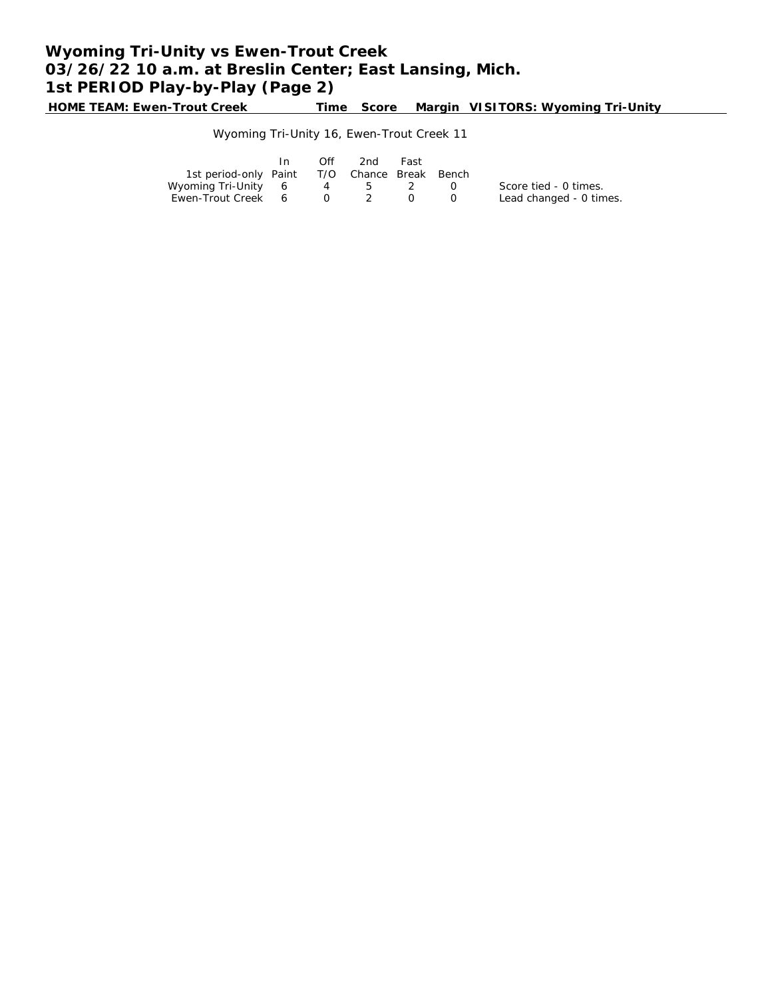**HOME TEAM: Ewen-Trout Creek Time Score Margin VISITORS: Wyoming Tri-Unity**

### Wyoming Tri-Unity 16, Ewen-Trout Creek 11

|                                              | In 1 | Off | 2nd                                         | Fast |                                               |                         |
|----------------------------------------------|------|-----|---------------------------------------------|------|-----------------------------------------------|-------------------------|
| 1st period-only Paint T/O Chance Break Bench |      |     |                                             |      |                                               |                         |
| Wyoming Tri-Unity 6 4 5 2                    |      |     |                                             |      | $\left( \begin{array}{c} \end{array} \right)$ | Score tied - 0 times.   |
| Ewen-Trout Creek 6                           |      |     | $\begin{array}{cccc} 0 & 2 & 0 \end{array}$ |      |                                               | Lead changed - 0 times. |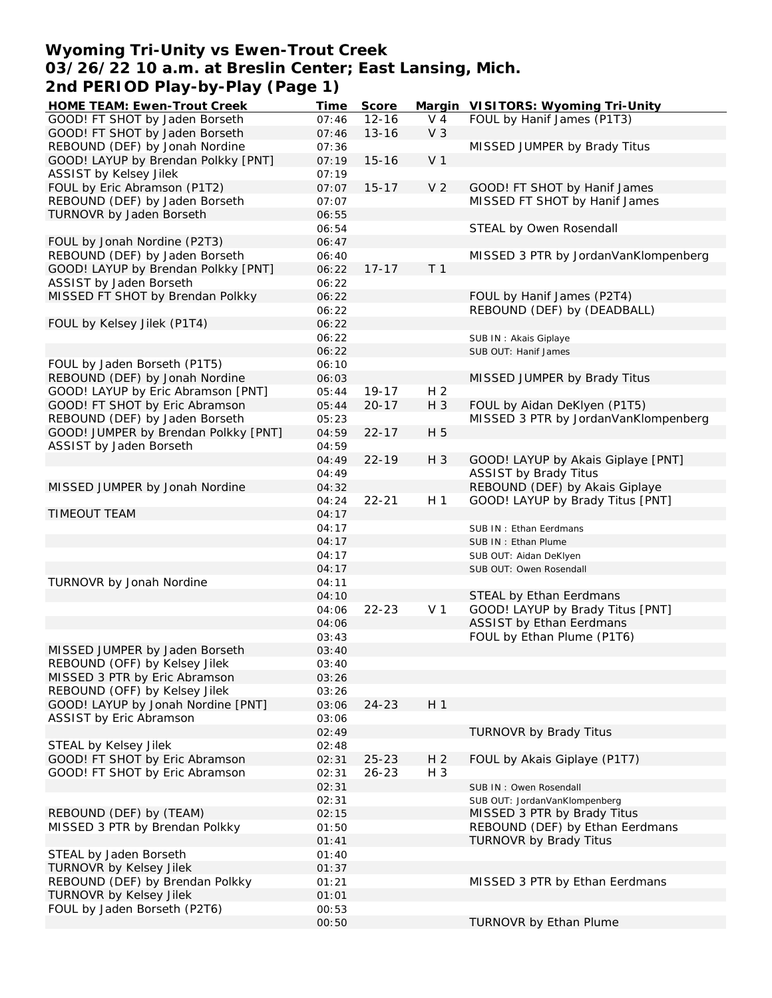## **Wyoming Tri-Unity vs Ewen-Trout Creek 03/26/22 10 a.m. at Breslin Center; East Lansing, Mich. 2nd PERIOD Play-by-Play (Page 1)**

| HOME TEAM: Ewen-Trout Creek                                    | Time           | Score     |                | Margin VISITORS: Wyoming Tri-Unity   |
|----------------------------------------------------------------|----------------|-----------|----------------|--------------------------------------|
| GOOD! FT SHOT by Jaden Borseth                                 | 07:46          | $12 - 16$ | $V_4$          | FOUL by Hanif James (P1T3)           |
| GOOD! FT SHOT by Jaden Borseth                                 | 07:46          | $13 - 16$ | V <sub>3</sub> |                                      |
| REBOUND (DEF) by Jonah Nordine                                 | 07:36          |           |                | MISSED JUMPER by Brady Titus         |
| GOOD! LAYUP by Brendan Polkky [PNT]                            | 07:19          | $15 - 16$ | V <sub>1</sub> |                                      |
| <b>ASSIST by Kelsey Jilek</b>                                  | 07:19          |           |                |                                      |
| FOUL by Eric Abramson (P1T2)                                   | 07:07          | $15 - 17$ | V <sub>2</sub> | GOOD! FT SHOT by Hanif James         |
| REBOUND (DEF) by Jaden Borseth                                 | 07:07          |           |                | MISSED FT SHOT by Hanif James        |
| TURNOVR by Jaden Borseth                                       | 06:55          |           |                |                                      |
|                                                                | 06:54          |           |                | STEAL by Owen Rosendall              |
| FOUL by Jonah Nordine (P2T3)                                   | 06:47          |           |                |                                      |
| REBOUND (DEF) by Jaden Borseth                                 | 06:40          | $17 - 17$ | T <sub>1</sub> | MISSED 3 PTR by JordanVanKlompenberg |
| GOOD! LAYUP by Brendan Polkky [PNT]<br>ASSIST by Jaden Borseth | 06:22<br>06:22 |           |                |                                      |
| MISSED FT SHOT by Brendan Polkky                               | 06:22          |           |                | FOUL by Hanif James (P2T4)           |
|                                                                | 06:22          |           |                | REBOUND (DEF) by (DEADBALL)          |
| FOUL by Kelsey Jilek (P1T4)                                    | 06:22          |           |                |                                      |
|                                                                | 06:22          |           |                | SUB IN: Akais Giplaye                |
|                                                                | 06:22          |           |                | SUB OUT: Hanif James                 |
| FOUL by Jaden Borseth (P1T5)                                   | 06:10          |           |                |                                      |
| REBOUND (DEF) by Jonah Nordine                                 | 06:03          |           |                | MISSED JUMPER by Brady Titus         |
| GOOD! LAYUP by Eric Abramson [PNT]                             | 05:44          | $19 - 17$ | H <sub>2</sub> |                                      |
| GOOD! FT SHOT by Eric Abramson                                 | 05:44          | $20 - 17$ | H 3            | FOUL by Aidan DeKlyen (P1T5)         |
| REBOUND (DEF) by Jaden Borseth                                 | 05:23          |           |                | MISSED 3 PTR by JordanVanKlompenberg |
| GOOD! JUMPER by Brendan Polkky [PNT]                           | 04:59          | $22 - 17$ | H 5            |                                      |
| ASSIST by Jaden Borseth                                        | 04:59          |           |                |                                      |
|                                                                | 04:49          | $22 - 19$ | H 3            | GOOD! LAYUP by Akais Giplaye [PNT]   |
|                                                                | 04:49          |           |                | <b>ASSIST by Brady Titus</b>         |
| MISSED JUMPER by Jonah Nordine                                 | 04:32          |           |                | REBOUND (DEF) by Akais Giplaye       |
|                                                                | 04:24          | $22 - 21$ | H 1            | GOOD! LAYUP by Brady Titus [PNT]     |
| <b>TIMEOUT TEAM</b>                                            | 04:17          |           |                |                                      |
|                                                                | 04:17          |           |                | SUB IN: Ethan Eerdmans               |
|                                                                | 04:17          |           |                | SUB IN: Ethan Plume                  |
|                                                                | 04:17          |           |                | SUB OUT: Aidan DeKlyen               |
|                                                                | 04:17          |           |                | SUB OUT: Owen Rosendall              |
| TURNOVR by Jonah Nordine                                       | 04:11          |           |                |                                      |
|                                                                | 04:10          |           |                | STEAL by Ethan Eerdmans              |
|                                                                | 04:06          | $22 - 23$ | V <sub>1</sub> | GOOD! LAYUP by Brady Titus [PNT]     |
|                                                                | 04:06          |           |                | <b>ASSIST by Ethan Eerdmans</b>      |
|                                                                | 03:43          |           |                | FOUL by Ethan Plume (P1T6)           |
| MISSED JUMPER by Jaden Borseth                                 | 03:40          |           |                |                                      |
| REBOUND (OFF) by Kelsey Jilek<br>MISSED 3 PTR by Eric Abramson | 03:40          |           |                |                                      |
| REBOUND (OFF) by Kelsey Jilek                                  | 03:26<br>03:26 |           |                |                                      |
| GOOD! LAYUP by Jonah Nordine [PNT]                             | 03:06          | $24 - 23$ | H <sub>1</sub> |                                      |
| ASSIST by Eric Abramson                                        | 03:06          |           |                |                                      |
|                                                                | 02:49          |           |                | TURNOVR by Brady Titus               |
| STEAL by Kelsey Jilek                                          | 02:48          |           |                |                                      |
| GOOD! FT SHOT by Eric Abramson                                 | 02:31          | $25 - 23$ | H <sub>2</sub> | FOUL by Akais Giplaye (P1T7)         |
| GOOD! FT SHOT by Eric Abramson                                 | 02:31          | $26 - 23$ | H 3            |                                      |
|                                                                | 02:31          |           |                | SUB IN: Owen Rosendall               |
|                                                                | 02:31          |           |                | SUB OUT: JordanVanKlompenberg        |
| REBOUND (DEF) by (TEAM)                                        | 02:15          |           |                | MISSED 3 PTR by Brady Titus          |
| MISSED 3 PTR by Brendan Polkky                                 | 01:50          |           |                | REBOUND (DEF) by Ethan Eerdmans      |
|                                                                | 01:41          |           |                | TURNOVR by Brady Titus               |
| STEAL by Jaden Borseth                                         | 01:40          |           |                |                                      |
| TURNOVR by Kelsey Jilek                                        | 01:37          |           |                |                                      |
| REBOUND (DEF) by Brendan Polkky                                | 01:21          |           |                | MISSED 3 PTR by Ethan Eerdmans       |
| TURNOVR by Kelsey Jilek                                        | 01:01          |           |                |                                      |
| FOUL by Jaden Borseth (P2T6)                                   | 00:53          |           |                |                                      |
|                                                                | 00:50          |           |                | TURNOVR by Ethan Plume               |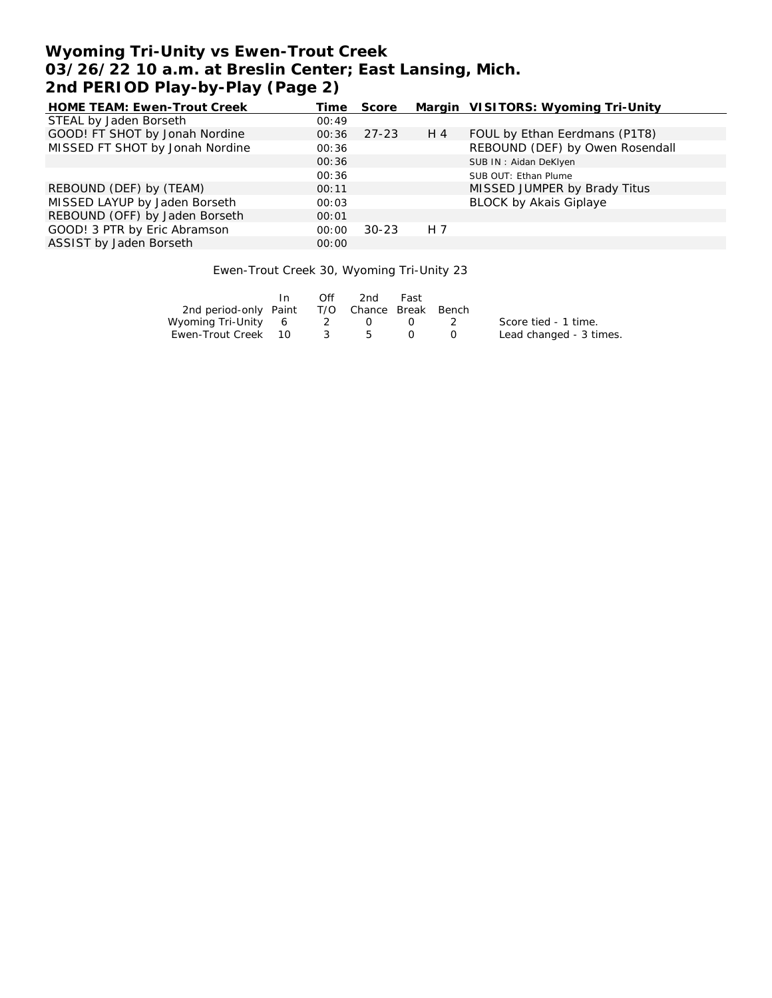# **Wyoming Tri-Unity vs Ewen-Trout Creek 03/26/22 10 a.m. at Breslin Center; East Lansing, Mich. 2nd PERIOD Play-by-Play (Page 2)**

| HOME TEAM: Ewen-Trout Creek     | Time  | Score     |     | Margin VISITORS: Wyoming Tri-Unity |
|---------------------------------|-------|-----------|-----|------------------------------------|
| STEAL by Jaden Borseth          | 00:49 |           |     |                                    |
| GOOD! FT SHOT by Jonah Nordine  | 00:36 | $27 - 23$ | H 4 | FOUL by Ethan Eerdmans (P1T8)      |
| MISSED FT SHOT by Jonah Nordine | 00:36 |           |     | REBOUND (DEF) by Owen Rosendall    |
|                                 | 00:36 |           |     | SUB IN: Aidan DeKlyen              |
|                                 | 00:36 |           |     | SUB OUT: Ethan Plume               |
| REBOUND (DEF) by (TEAM)         | 00:11 |           |     | MISSED JUMPER by Brady Titus       |
| MISSED LAYUP by Jaden Borseth   | 00:03 |           |     | <b>BLOCK by Akais Giplaye</b>      |
| REBOUND (OFF) by Jaden Borseth  | 00:01 |           |     |                                    |
| GOOD! 3 PTR by Eric Abramson    | 00:00 | $30 - 23$ | H 7 |                                    |
| ASSIST by Jaden Borseth         | 00:00 |           |     |                                    |

Ewen-Trout Creek 30, Wyoming Tri-Unity 23

|                                              | $\mathsf{In}$ | Off    | 2nd              | Fast             |                         |
|----------------------------------------------|---------------|--------|------------------|------------------|-------------------------|
| 2nd period-only Paint T/O Chance Break Bench |               |        |                  |                  |                         |
| Wyoming Tri-Unity 6 2                        |               |        | $\left( \right)$ | $\left( \right)$ | Score tied - 1 time.    |
| Ewen-Trout Creek 10                          |               | - 35 - | 5                |                  | Lead changed - 3 times. |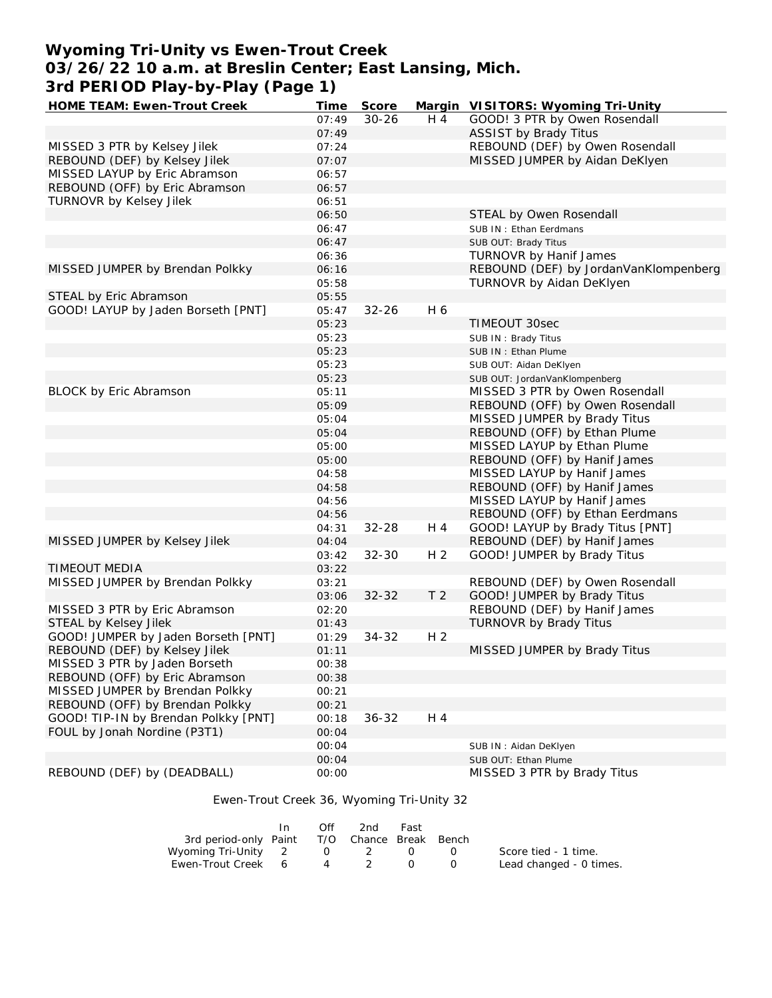## **Wyoming Tri-Unity vs Ewen-Trout Creek 03/26/22 10 a.m. at Breslin Center; East Lansing, Mich. 3rd PERIOD Play-by-Play (Page 1)**

| HOME TEAM: Ewen-Trout Creek          | Time  | Score     |                | Margin VISITORS: Wyoming Tri-Unity    |
|--------------------------------------|-------|-----------|----------------|---------------------------------------|
|                                      | 07:49 | $30 - 26$ | H 4            | GOOD! 3 PTR by Owen Rosendall         |
|                                      | 07:49 |           |                | <b>ASSIST by Brady Titus</b>          |
| MISSED 3 PTR by Kelsey Jilek         | 07:24 |           |                | REBOUND (DEF) by Owen Rosendall       |
| REBOUND (DEF) by Kelsey Jilek        | 07:07 |           |                | MISSED JUMPER by Aidan DeKlyen        |
| MISSED LAYUP by Eric Abramson        | 06:57 |           |                |                                       |
| REBOUND (OFF) by Eric Abramson       | 06:57 |           |                |                                       |
| TURNOVR by Kelsey Jilek              | 06:51 |           |                |                                       |
|                                      | 06:50 |           |                | STEAL by Owen Rosendall               |
|                                      | 06:47 |           |                | SUB IN: Ethan Eerdmans                |
|                                      | 06:47 |           |                | SUB OUT: Brady Titus                  |
|                                      | 06:36 |           |                | TURNOVR by Hanif James                |
| MISSED JUMPER by Brendan Polkky      | 06:16 |           |                | REBOUND (DEF) by JordanVanKlompenberg |
|                                      | 05:58 |           |                | TURNOVR by Aidan DeKlyen              |
| STEAL by Eric Abramson               | 05:55 |           |                |                                       |
| GOOD! LAYUP by Jaden Borseth [PNT]   | 05:47 | $32 - 26$ | H 6            |                                       |
|                                      | 05:23 |           |                | TIMEOUT 30sec                         |
|                                      | 05:23 |           |                | SUB IN: Brady Titus                   |
|                                      | 05:23 |           |                | SUB IN: Ethan Plume                   |
|                                      | 05:23 |           |                | SUB OUT: Aidan DeKlyen                |
|                                      | 05:23 |           |                | SUB OUT: JordanVanKlompenberg         |
| <b>BLOCK by Eric Abramson</b>        | 05:11 |           |                | MISSED 3 PTR by Owen Rosendall        |
|                                      | 05:09 |           |                | REBOUND (OFF) by Owen Rosendall       |
|                                      | 05:04 |           |                | MISSED JUMPER by Brady Titus          |
|                                      | 05:04 |           |                | REBOUND (OFF) by Ethan Plume          |
|                                      | 05:00 |           |                | MISSED LAYUP by Ethan Plume           |
|                                      | 05:00 |           |                | REBOUND (OFF) by Hanif James          |
|                                      | 04:58 |           |                | MISSED LAYUP by Hanif James           |
|                                      | 04:58 |           |                | REBOUND (OFF) by Hanif James          |
|                                      | 04:56 |           |                | MISSED LAYUP by Hanif James           |
|                                      | 04:56 |           |                | REBOUND (OFF) by Ethan Eerdmans       |
|                                      | 04:31 | $32 - 28$ | H 4            | GOOD! LAYUP by Brady Titus [PNT]      |
| MISSED JUMPER by Kelsey Jilek        | 04:04 |           |                | REBOUND (DEF) by Hanif James          |
|                                      | 03:42 | $32 - 30$ | H <sub>2</sub> | GOOD! JUMPER by Brady Titus           |
| <b>TIMEOUT MEDIA</b>                 | 03:22 |           |                |                                       |
| MISSED JUMPER by Brendan Polkky      | 03:21 |           |                | REBOUND (DEF) by Owen Rosendall       |
|                                      | 03:06 | $32 - 32$ | T <sub>2</sub> | GOOD! JUMPER by Brady Titus           |
| MISSED 3 PTR by Eric Abramson        | 02:20 |           |                | REBOUND (DEF) by Hanif James          |
| STEAL by Kelsey Jilek                | 01:43 |           |                | TURNOVR by Brady Titus                |
| GOOD! JUMPER by Jaden Borseth [PNT]  | 01:29 | $34 - 32$ | H <sub>2</sub> |                                       |
| REBOUND (DEF) by Kelsey Jilek        | 01:11 |           |                | MISSED JUMPER by Brady Titus          |
| MISSED 3 PTR by Jaden Borseth        | 00:38 |           |                |                                       |
| REBOUND (OFF) by Eric Abramson       | 00:38 |           |                |                                       |
| MISSED JUMPER by Brendan Polkky      | 00:21 |           |                |                                       |
| REBOUND (OFF) by Brendan Polkky      |       |           |                |                                       |
| GOOD! TIP-IN by Brendan Polkky [PNT] | 00:21 | $36 - 32$ |                |                                       |
|                                      | 00:18 |           | H 4            |                                       |
| FOUL by Jonah Nordine (P3T1)         | 00:04 |           |                |                                       |
|                                      | 00:04 |           |                | SUB IN: Aidan DeKlyen                 |
|                                      | 00:04 |           |                | SUB OUT: Ethan Plume                  |
| REBOUND (DEF) by (DEADBALL)          | 00:00 |           |                | MISSED 3 PTR by Brady Titus           |

Ewen-Trout Creek 36, Wyoming Tri-Unity 32

|                                              | Off            | 2nd -               | Fast |                  |                         |
|----------------------------------------------|----------------|---------------------|------|------------------|-------------------------|
| 3rd period-only Paint T/O Chance Break Bench |                |                     |      |                  |                         |
| Wyoming Tri-Unity 2                          |                | $0\qquad 2\qquad 0$ |      | $\left( \right)$ | Score tied - 1 time.    |
| Ewen-Trout Creek 6                           | $\overline{4}$ |                     |      |                  | Lead changed - 0 times. |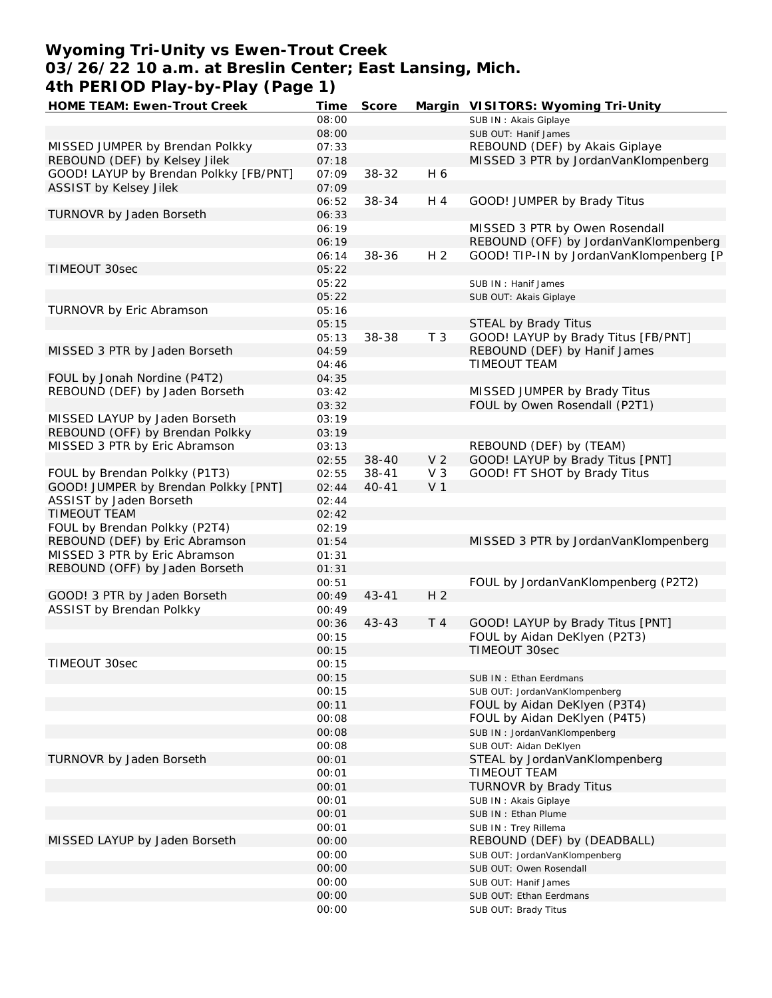## **Wyoming Tri-Unity vs Ewen-Trout Creek 03/26/22 10 a.m. at Breslin Center; East Lansing, Mich. 4th PERIOD Play-by-Play (Page 1)**

| HOME TEAM: Ewen-Trout Creek            | Time  | Score     |                | Margin VISITORS: Wyoming Tri-Unity      |
|----------------------------------------|-------|-----------|----------------|-----------------------------------------|
|                                        | 08:00 |           |                | SUB IN: Akais Giplaye                   |
|                                        | 08:00 |           |                | SUB OUT: Hanif James                    |
| MISSED JUMPER by Brendan Polkky        | 07:33 |           |                | REBOUND (DEF) by Akais Giplaye          |
| REBOUND (DEF) by Kelsey Jilek          | 07:18 |           |                | MISSED 3 PTR by JordanVanKlompenberg    |
| GOOD! LAYUP by Brendan Polkky [FB/PNT] | 07:09 | 38-32     | H 6            |                                         |
| <b>ASSIST by Kelsey Jilek</b>          | 07:09 |           |                |                                         |
|                                        | 06:52 | 38-34     | H 4            | GOOD! JUMPER by Brady Titus             |
| TURNOVR by Jaden Borseth               | 06:33 |           |                |                                         |
|                                        | 06:19 |           |                | MISSED 3 PTR by Owen Rosendall          |
|                                        | 06:19 |           |                | REBOUND (OFF) by JordanVanKlompenberg   |
|                                        | 06:14 | 38-36     | H <sub>2</sub> | GOOD! TIP-IN by JordanVanKlompenberg [P |
| TIMEOUT 30sec                          | 05:22 |           |                |                                         |
|                                        | 05:22 |           |                | SUB IN: Hanif James                     |
|                                        | 05:22 |           |                | SUB OUT: Akais Giplaye                  |
| TURNOVR by Eric Abramson               | 05:16 |           |                |                                         |
|                                        | 05:15 |           |                |                                         |
|                                        |       |           | T <sub>3</sub> | STEAL by Brady Titus                    |
|                                        | 05:13 | 38-38     |                | GOOD! LAYUP by Brady Titus [FB/PNT]     |
| MISSED 3 PTR by Jaden Borseth          | 04:59 |           |                | REBOUND (DEF) by Hanif James            |
|                                        | 04:46 |           |                | TIMEOUT TEAM                            |
| FOUL by Jonah Nordine (P4T2)           | 04:35 |           |                |                                         |
| REBOUND (DEF) by Jaden Borseth         | 03:42 |           |                | MISSED JUMPER by Brady Titus            |
|                                        | 03:32 |           |                | FOUL by Owen Rosendall (P2T1)           |
| MISSED LAYUP by Jaden Borseth          | 03:19 |           |                |                                         |
| REBOUND (OFF) by Brendan Polkky        | 03:19 |           |                |                                         |
| MISSED 3 PTR by Eric Abramson          | 03:13 |           |                | REBOUND (DEF) by (TEAM)                 |
|                                        | 02:55 | $38 - 40$ | V <sub>2</sub> | GOOD! LAYUP by Brady Titus [PNT]        |
| FOUL by Brendan Polkky (P1T3)          | 02:55 | $38 - 41$ | V <sub>3</sub> | GOOD! FT SHOT by Brady Titus            |
| GOOD! JUMPER by Brendan Polkky [PNT]   | 02:44 | $40 - 41$ | V <sub>1</sub> |                                         |
| ASSIST by Jaden Borseth                | 02:44 |           |                |                                         |
| TIMEOUT TEAM                           | 02:42 |           |                |                                         |
| FOUL by Brendan Polkky (P2T4)          | 02:19 |           |                |                                         |
| REBOUND (DEF) by Eric Abramson         | 01:54 |           |                | MISSED 3 PTR by JordanVanKlompenberg    |
| MISSED 3 PTR by Eric Abramson          | 01:31 |           |                |                                         |
| REBOUND (OFF) by Jaden Borseth         | 01:31 |           |                |                                         |
|                                        | 00:51 |           |                | FOUL by JordanVanKlompenberg (P2T2)     |
| GOOD! 3 PTR by Jaden Borseth           | 00:49 | $43 - 41$ | H <sub>2</sub> |                                         |
| ASSIST by Brendan Polkky               | 00:49 |           |                |                                         |
|                                        | 00:36 | $43 - 43$ | T <sub>4</sub> | GOOD! LAYUP by Brady Titus [PNT]        |
|                                        | 00:15 |           |                | FOUL by Aidan DeKlyen (P2T3)            |
|                                        | 00:15 |           |                | TIMEOUT 30sec                           |
| TIMEOUT 30sec                          | 00:15 |           |                |                                         |
|                                        | 00:15 |           |                | SUB IN: Ethan Eerdmans                  |
|                                        | 00:15 |           |                |                                         |
|                                        |       |           |                | SUB OUT: JordanVanKlompenberg           |
|                                        | 00:11 |           |                | FOUL by Aidan DeKlyen (P3T4)            |
|                                        | 00:08 |           |                | FOUL by Aidan DeKlyen (P4T5)            |
|                                        | 00:08 |           |                | SUB IN: JordanVanKlompenberg            |
|                                        | 00:08 |           |                | SUB OUT: Aidan DeKlyen                  |
| TURNOVR by Jaden Borseth               | 00:01 |           |                | STEAL by JordanVanKlompenberg           |
|                                        | 00:01 |           |                | TIMEOUT TEAM                            |
|                                        | 00:01 |           |                | TURNOVR by Brady Titus                  |
|                                        | 00:01 |           |                | SUB IN: Akais Giplaye                   |
|                                        | 00:01 |           |                | SUB IN: Ethan Plume                     |
|                                        | 00:01 |           |                | SUB IN: Trey Rillema                    |
| MISSED LAYUP by Jaden Borseth          | 00:00 |           |                | REBOUND (DEF) by (DEADBALL)             |
|                                        | 00:00 |           |                | SUB OUT: JordanVanKlompenberg           |
|                                        | 00:00 |           |                | SUB OUT: Owen Rosendall                 |
|                                        | 00:00 |           |                | SUB OUT: Hanif James                    |
|                                        | 00:00 |           |                | SUB OUT: Ethan Eerdmans                 |
|                                        | 00:00 |           |                | SUB OUT: Brady Titus                    |
|                                        |       |           |                |                                         |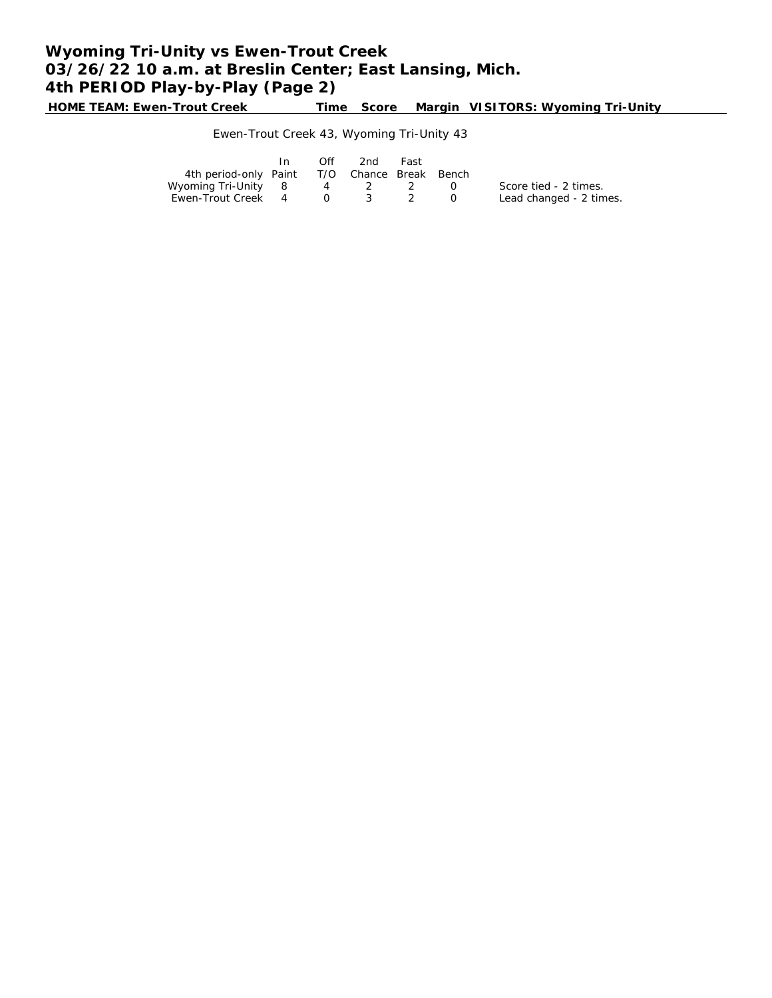# **Wyoming Tri-Unity vs Ewen-Trout Creek 03/26/22 10 a.m. at Breslin Center; East Lansing, Mich. 4th PERIOD Play-by-Play (Page 2)**

**HOME TEAM: Ewen-Trout Creek Time Score Margin VISITORS: Wyoming Tri-Unity**

### Ewen-Trout Creek 43, Wyoming Tri-Unity 43

|                                              | In 1 | Off | -2nd | Fast |        |                         |
|----------------------------------------------|------|-----|------|------|--------|-------------------------|
| 4th period-only Paint T/O Chance Break Bench |      |     |      |      |        |                         |
| Wyoming Tri-Unity 8 4 2 2                    |      |     |      |      | $\cap$ | Score tied - 2 times.   |
| Ewen-Trout Creek 4 0 3 2                     |      |     |      |      | $\cup$ | Lead changed - 2 times. |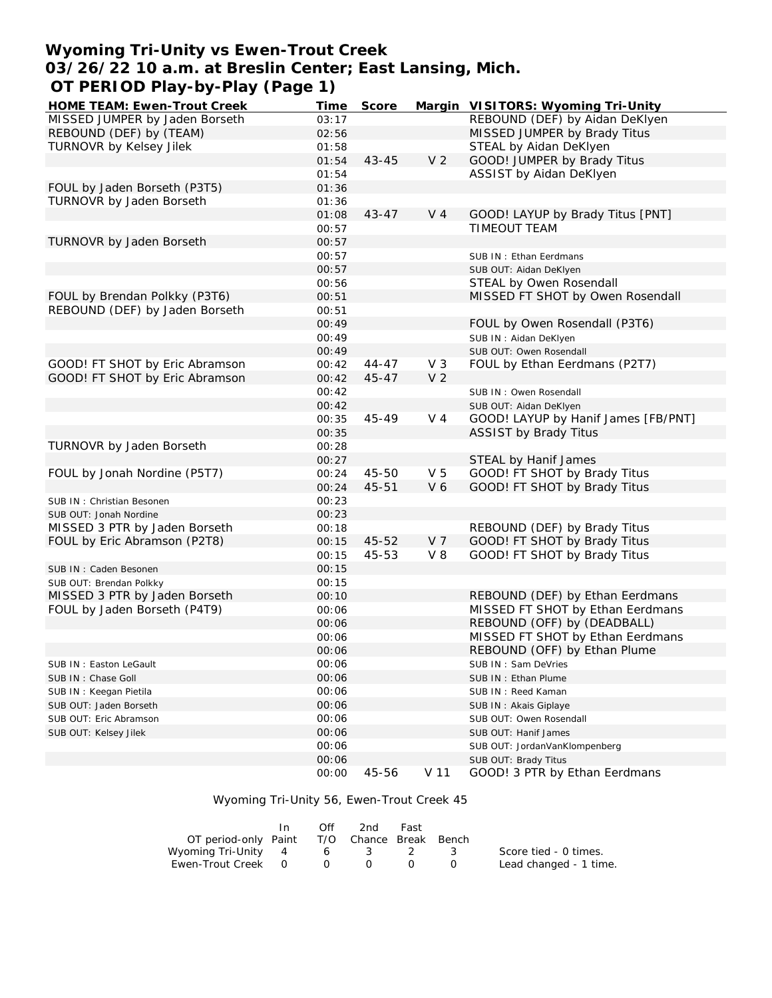## **Wyoming Tri-Unity vs Ewen-Trout Creek 03/26/22 10 a.m. at Breslin Center; East Lansing, Mich. OT PERIOD Play-by-Play (Page 1)**

| HOME TEAM: Ewen-Trout Creek    | Time  | Score     |                 | Margin VISITORS: Wyoming Tri-Unity  |
|--------------------------------|-------|-----------|-----------------|-------------------------------------|
| MISSED JUMPER by Jaden Borseth | 03:17 |           |                 | REBOUND (DEF) by Aidan DeKlyen      |
| REBOUND (DEF) by (TEAM)        | 02:56 |           |                 | MISSED JUMPER by Brady Titus        |
| TURNOVR by Kelsey Jilek        | 01:58 |           |                 | STEAL by Aidan DeKlyen              |
|                                | 01:54 | $43 - 45$ | V <sub>2</sub>  | GOOD! JUMPER by Brady Titus         |
|                                | 01:54 |           |                 | ASSIST by Aidan DeKlyen             |
| FOUL by Jaden Borseth (P3T5)   | 01:36 |           |                 |                                     |
| TURNOVR by Jaden Borseth       | 01:36 |           |                 |                                     |
|                                | 01:08 | $43 - 47$ | V <sub>4</sub>  | GOOD! LAYUP by Brady Titus [PNT]    |
|                                | 00:57 |           |                 | TIMEOUT TEAM                        |
| TURNOVR by Jaden Borseth       | 00:57 |           |                 |                                     |
|                                | 00:57 |           |                 | SUB IN: Ethan Eerdmans              |
|                                | 00:57 |           |                 | SUB OUT: Aidan DeKlyen              |
|                                | 00:56 |           |                 | STEAL by Owen Rosendall             |
| FOUL by Brendan Polkky (P3T6)  | 00:51 |           |                 | MISSED FT SHOT by Owen Rosendall    |
| REBOUND (DEF) by Jaden Borseth | 00:51 |           |                 |                                     |
|                                | 00:49 |           |                 | FOUL by Owen Rosendall (P3T6)       |
|                                | 00:49 |           |                 | SUB IN: Aidan DeKlyen               |
|                                | 00:49 |           |                 | SUB OUT: Owen Rosendall             |
| GOOD! FT SHOT by Eric Abramson | 00:42 | $44 - 47$ | $V_3$           | FOUL by Ethan Eerdmans (P2T7)       |
| GOOD! FT SHOT by Eric Abramson | 00:42 | $45 - 47$ | V <sub>2</sub>  |                                     |
|                                | 00:42 |           |                 | SUB IN: Owen Rosendall              |
|                                | 00:42 |           |                 | SUB OUT: Aidan DeKlyen              |
|                                | 00:35 | 45-49     | $V_4$           | GOOD! LAYUP by Hanif James [FB/PNT] |
|                                | 00:35 |           |                 | <b>ASSIST by Brady Titus</b>        |
| TURNOVR by Jaden Borseth       | 00:28 |           |                 |                                     |
|                                | 00:27 |           |                 | STEAL by Hanif James                |
| FOUL by Jonah Nordine (P5T7)   | 00:24 | 45-50     | V <sub>5</sub>  | GOOD! FT SHOT by Brady Titus        |
|                                | 00:24 | 45-51     | V6              | GOOD! FT SHOT by Brady Titus        |
| SUB IN: Christian Besonen      | 00:23 |           |                 |                                     |
| SUB OUT: Jonah Nordine         | 00:23 |           |                 |                                     |
| MISSED 3 PTR by Jaden Borseth  | 00:18 |           |                 | REBOUND (DEF) by Brady Titus        |
| FOUL by Eric Abramson (P2T8)   | 00:15 | 45-52     | V <sub>7</sub>  | GOOD! FT SHOT by Brady Titus        |
|                                | 00:15 | 45-53     | V 8             | GOOD! FT SHOT by Brady Titus        |
| SUB IN: Caden Besonen          | 00:15 |           |                 |                                     |
| SUB OUT: Brendan Polkky        | 00:15 |           |                 |                                     |
| MISSED 3 PTR by Jaden Borseth  | 00:10 |           |                 | REBOUND (DEF) by Ethan Eerdmans     |
| FOUL by Jaden Borseth (P4T9)   | 00:06 |           |                 | MISSED FT SHOT by Ethan Eerdmans    |
|                                | 00:06 |           |                 | REBOUND (OFF) by (DEADBALL)         |
|                                | 00:06 |           |                 | MISSED FT SHOT by Ethan Eerdmans    |
|                                | 00:06 |           |                 | REBOUND (OFF) by Ethan Plume        |
| SUB IN: Easton LeGault         | 00:06 |           |                 | SUB IN: Sam DeVries                 |
| SUB IN: Chase Goll             | 00:06 |           |                 | SUB IN: Ethan Plume                 |
| SUB IN: Keegan Pietila         | 00:06 |           |                 | SUB IN: Reed Kaman                  |
| SUB OUT: Jaden Borseth         | 00:06 |           |                 | SUB IN: Akais Giplaye               |
| SUB OUT: Eric Abramson         | 00:06 |           |                 | SUB OUT: Owen Rosendall             |
| SUB OUT: Kelsey Jilek          | 00:06 |           |                 | SUB OUT: Hanif James                |
|                                | 00:06 |           |                 | SUB OUT: JordanVanKlompenberg       |
|                                | 00:06 |           |                 | SUB OUT: Brady Titus                |
|                                | 00:00 | 45-56     | V <sub>11</sub> | GOOD! 3 PTR by Ethan Eerdmans       |

Wyoming Tri-Unity 56, Ewen-Trout Creek 45

|                                             | Off | 2nd -             | Fast |                        |
|---------------------------------------------|-----|-------------------|------|------------------------|
| OT period-only Paint T/O Chance Break Bench |     |                   |      |                        |
| Wyoming Tri-Unity 4 6 3 2 3                 |     |                   |      | Score tied - 0 times.  |
| Ewen-Trout Creek 0                          |     | $\Omega$ $\Omega$ |      | Lead changed - 1 time. |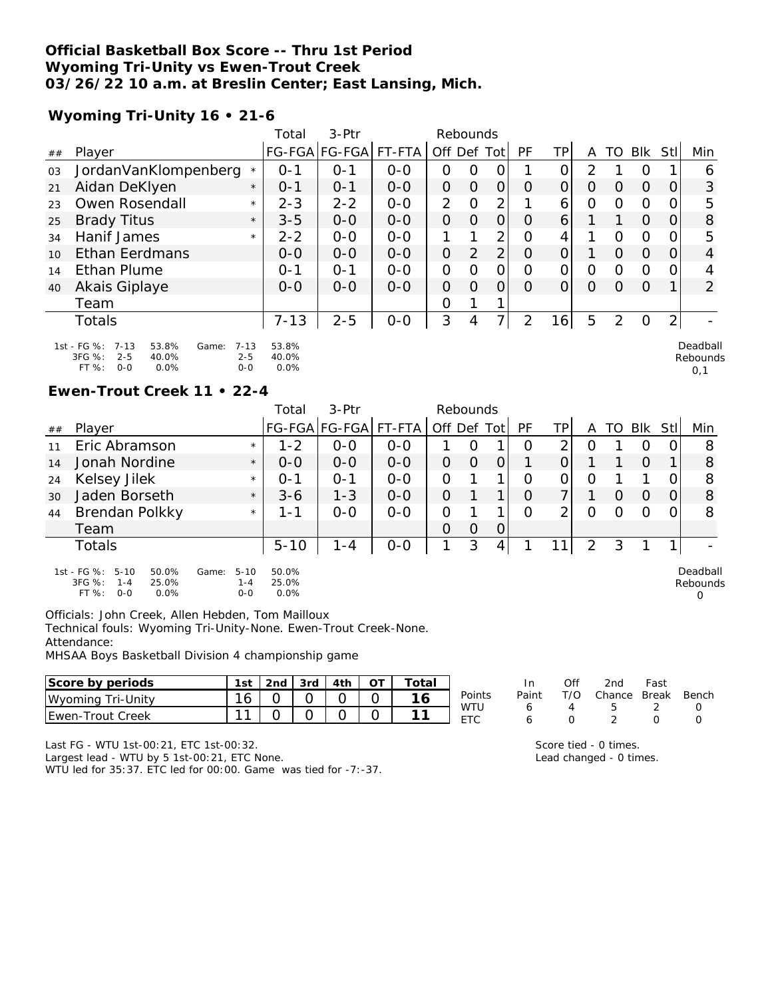#### **Official Basketball Box Score -- Thru 1st Period Wyoming Tri-Unity vs Ewen-Trout Creek 03/26/22 10 a.m. at Breslin Center; East Lansing, Mich.**

## **Wyoming Tri-Unity 16 • 21-6**

|    |                                                                                                     |                                | Total                  | $3-$ Ptr             |         | Rebounds    |          |                |          |                 |          |          |            |                |                             |
|----|-----------------------------------------------------------------------------------------------------|--------------------------------|------------------------|----------------------|---------|-------------|----------|----------------|----------|-----------------|----------|----------|------------|----------------|-----------------------------|
| ## | Plaver                                                                                              |                                |                        | FG-FGA FG-FGA FT-FTA |         | Off Def Tot |          |                | PF       | ΤP              | A        | TO       | <b>Blk</b> | Stll           | Min                         |
| 03 | JordanVanKlompenberg                                                                                | $\star$                        | 0-1                    | $0 - 1$              | $0 - 0$ | 0           | O        | O              |          | 0               | 2        |          | O          |                | 6                           |
| 21 | Aidan DeKlyen                                                                                       | $\star$                        | $0 - 1$                | $O - 1$              | $0 - 0$ | $\Omega$    | $\Omega$ | $\Omega$       | $\Omega$ | $\Omega$        | $\Omega$ | $\Omega$ | $\Omega$   | 0              | 3                           |
| 23 | Owen Rosendall                                                                                      | $\star$                        | $2 - 3$                | $2 - 2$              | $O-O$   | 2           | $\Omega$ | 2              |          | 6               | $\Omega$ | $\circ$  | $\circ$    | 0              | 5                           |
| 25 | <b>Brady Titus</b>                                                                                  | $\star$                        | $3 - 5$                | $0 - 0$              | $0 - 0$ | $\Omega$    | $\Omega$ | $\Omega$       | $\Omega$ | 6               |          |          | $\Omega$   | 0              | 8                           |
| 34 | Hanif James                                                                                         | $\star$                        | $2 - 2$                | $0 - 0$              | $0 - 0$ |             |          | 2              | $\Omega$ | 4               |          | $\Omega$ | $\Omega$   | 0              | 5                           |
| 10 | <b>Ethan Eerdmans</b>                                                                               |                                | $O-O$                  | $0 - 0$              | $0 - 0$ | $\Omega$    | 2        | 2 <sub>1</sub> | $\Omega$ | $\overline{O}$  |          | $\Omega$ | $\Omega$   | 0              | $\overline{4}$              |
| 14 | <b>Ethan Plume</b>                                                                                  |                                | $0 - 1$                | $O - 1$              | $O-O$   | $\Omega$    | $\Omega$ | $\Omega$       | $\Omega$ | $\Omega$        | O        | $\Omega$ | $\Omega$   | 0              | 4                           |
| 40 | Akais Giplaye                                                                                       |                                | $O - O$                | $O-O$                | $O-O$   | $\Omega$    | $\Omega$ | $\Omega$       | $\Omega$ | $\Omega$        | $\Omega$ | $\Omega$ | $\Omega$   |                | 2                           |
|    | Team                                                                                                |                                |                        |                      |         | O           |          |                |          |                 |          |          |            |                |                             |
|    | <b>Totals</b>                                                                                       |                                | $7 - 13$               | $2 - 5$              | $O-O$   | 3           | 4        |                | 2        | 16 <sub>1</sub> | 5        | 2        | $\Omega$   | $\overline{2}$ |                             |
|    | 1st - FG %:<br>53.8%<br>$7 - 13$<br>Game:<br>3FG %:<br>$2 - 5$<br>40.0%<br>$0 - 0$<br>FT %:<br>0.0% | $7 - 13$<br>$2 - 5$<br>$0 - 0$ | 53.8%<br>40.0%<br>0.0% |                      |         |             |          |                |          |                 |          |          |            |                | Deadball<br>Rebounds<br>0.1 |

### **Ewen-Trout Creek 11 • 22-4**

|    |                                                                                            |                                         | Total                  | 3-Ptr         |         | Rebounds       |          |   |    |     |   |                  |         |   |                           |
|----|--------------------------------------------------------------------------------------------|-----------------------------------------|------------------------|---------------|---------|----------------|----------|---|----|-----|---|------------------|---------|---|---------------------------|
| ## | Player                                                                                     |                                         |                        | FG-FGA FG-FGA | FT-FTA  | Off Def Tot    |          |   | PF | TPI | A | TO I             | Blk Stl |   | Min                       |
| 11 | Eric Abramson                                                                              | $\star$                                 | $1 - 2$                | $0 - 0$       | $0 - 0$ |                | O        |   | O  | 2   | O |                  | O       | O | 8                         |
| 14 | Jonah Nordine                                                                              | $\star$                                 | $0 - 0$                | $0 - 0$       | $0-0$   | 0              | $\Omega$ | 0 |    |     |   |                  | O       |   | 8                         |
| 24 | Kelsey Jilek                                                                               | $\star$                                 | $O - 1$                | $O - 1$       | $0 - 0$ | 0              |          |   | Ω  | 0   | O |                  |         | Ω | 8                         |
| 30 | Jaden Borseth                                                                              | $\star$                                 | $3 - 6$                | $1 - 3$       | $0-0$   | $\overline{0}$ |          | 1 | O  | 7   |   | $\left( \right)$ | Ω       |   | 8                         |
| 44 | Brendan Polkky                                                                             | $\star$                                 | 1 - 1                  | $0 - 0$       | $0-0$   | 0              |          |   | Ω  | ⌒   | O |                  | Ω       |   | 8                         |
|    | Team                                                                                       |                                         |                        |               |         | $\overline{0}$ | O        | 0 |    |     |   |                  |         |   |                           |
|    | <b>Totals</b>                                                                              |                                         | $5 - 10$               | $1 - 4$       | $0-0$   |                | 3        | 4 |    |     | 2 | 3                |         |   |                           |
|    | 1st - FG %:<br>$5 - 10$<br>50.0%<br>3FG %:<br>25.0%<br>$1 - 4$<br>FT %:<br>$0 - 0$<br>0.0% | $5 - 10$<br>Game:<br>$1 - 4$<br>$0 - 0$ | 50.0%<br>25.0%<br>0.0% |               |         |                |          |   |    |     |   |                  |         |   | Deadball<br>Rebounds<br>0 |

Officials: John Creek, Allen Hebden, Tom Mailloux

Technical fouls: Wyoming Tri-Unity-None. Ewen-Trout Creek-None. Attendance:

MHSAA Boys Basketball Division 4 championship game

| Score by periods                  | 1st     | 2nd | 3rd | 4th | otal |                        | In    | Of  | 2nd    | Fast         |       |
|-----------------------------------|---------|-----|-----|-----|------|------------------------|-------|-----|--------|--------------|-------|
| Wyoming <sup>7</sup><br>Tri-Unity | 16<br>◡ |     |     |     |      | Points                 | Paint | T/O | Chance | <b>Break</b> | Bench |
| l Ewen-Trout Creek                | $\sim$  |     |     |     |      | WTU<br><b>FTO</b><br>– |       |     |        |              |       |

Last FG - WTU 1st-00:21, ETC 1st-00:32.

Largest lead - WTU by 5 1st-00:21, ETC None.

WTU led for 35:37. ETC led for 00:00. Game was tied for -7:-37.

Score tied - 0 times. Lead changed - 0 times.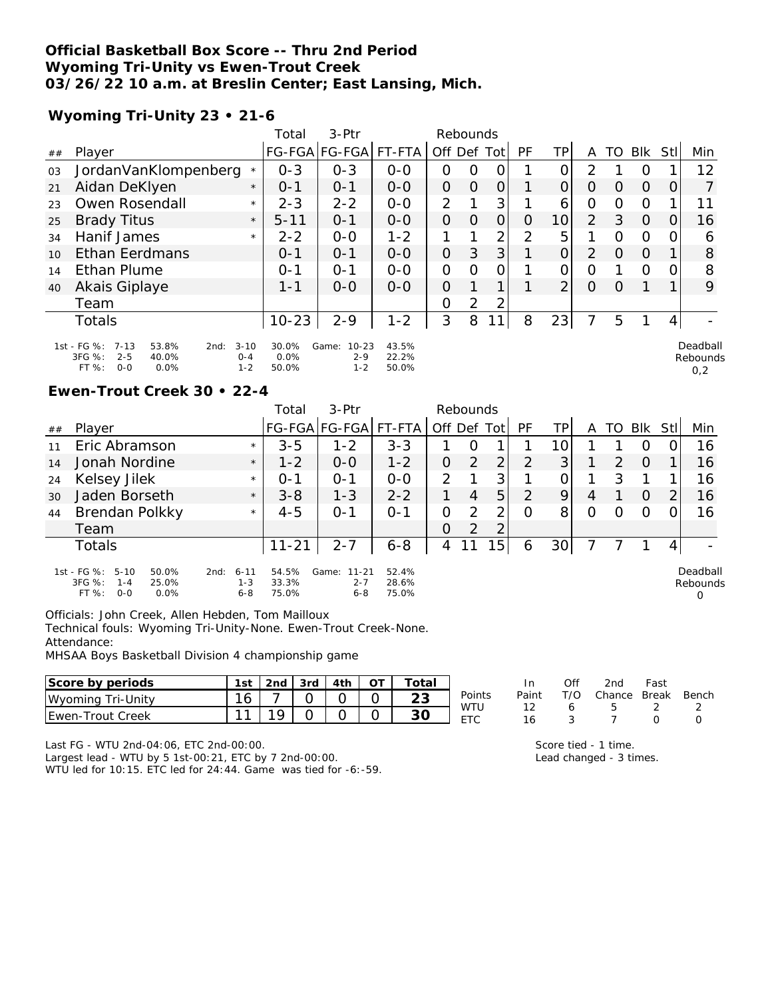#### **Official Basketball Box Score -- Thru 2nd Period Wyoming Tri-Unity vs Ewen-Trout Creek 03/26/22 10 a.m. at Breslin Center; East Lansing, Mich.**

## **Wyoming Tri-Unity 23 • 21-6**

|    |                                                                                                    |                                | Total                  | $3-$ Ptr                                 |                         | Rebounds       |          |                |          |                 |                |          |                |      |                             |
|----|----------------------------------------------------------------------------------------------------|--------------------------------|------------------------|------------------------------------------|-------------------------|----------------|----------|----------------|----------|-----------------|----------------|----------|----------------|------|-----------------------------|
| ## | Player                                                                                             |                                |                        | FG-FGA FG-FGA FT-FTA                     |                         | Off Def Tot    |          |                | PF       | ΤP              | A              | TO       | Blk            | Stll | Min                         |
| 03 | JordanVanKlompenberg                                                                               | $\star$                        | $0 - 3$                | $O - 3$                                  | $0 - 0$                 | 0              | $\Omega$ | O              |          | O               | 2              |          | O              |      | 12                          |
| 21 | Aidan DeKlyen                                                                                      | $\star$                        | $O - 1$                | $O - 1$                                  | $0 - 0$                 | $\Omega$       | $\Omega$ | $\overline{O}$ |          | $\Omega$        | $\Omega$       | $\Omega$ | $\overline{O}$ | 0    |                             |
| 23 | Owen Rosendall                                                                                     | $\star$                        | $2 - 3$                | $2 - 2$                                  | $0 - 0$                 | $\overline{2}$ |          | 3              |          | 6               | O              | $\Omega$ | $\Omega$       |      | 11                          |
| 25 | <b>Brady Titus</b>                                                                                 | $\star$                        | $5 - 11$               | $O - 1$                                  | $0 - 0$                 | $\Omega$       | $\Omega$ | $\Omega$       | $\Omega$ | 10 <sup>1</sup> | 2              | 3        | $\Omega$       | 0    | 16                          |
| 34 | Hanif James                                                                                        | $\star$                        | $2 - 2$                | $0 - 0$                                  | $1 - 2$                 |                |          | $\overline{2}$ | 2        | 5               |                | $\circ$  | $\Omega$       | 0    | 6                           |
| 10 | <b>Ethan Eerdmans</b>                                                                              |                                | $O - 1$                | $O - 1$                                  | $0 - 0$                 | $\Omega$       | 3        | 3 <sup>1</sup> |          | $\overline{O}$  | $\overline{2}$ | $\Omega$ | $\Omega$       |      | 8                           |
| 14 | <b>Ethan Plume</b>                                                                                 |                                | $O - 1$                | $O - 1$                                  | $O-O$                   | $\Omega$       | $\Omega$ | $\circ$        |          | O               | O              |          | $\Omega$       | 0    | 8                           |
| 40 | Akais Giplaye                                                                                      |                                | 1-1                    | $O - O$                                  | $0 - 0$                 | $\Omega$       |          |                |          | $\overline{2}$  | $\Omega$       | $\Omega$ |                |      | 9                           |
|    | Team                                                                                               |                                |                        |                                          |                         | O              | 2        | 2              |          |                 |                |          |                |      |                             |
|    | Totals                                                                                             |                                | $10 - 23$              | $2 - 9$                                  | $1 - 2$                 | 3              | 8        | 1              | 8        | 23              |                | 5        |                | 4    |                             |
|    | 1st - FG %:<br>$7 - 13$<br>53.8%<br>2nd:<br>3FG %:<br>$2 - 5$<br>40.0%<br>$0 - 0$<br>FT %:<br>0.0% | $3 - 10$<br>$0 - 4$<br>$1 - 2$ | 30.0%<br>0.0%<br>50.0% | $10 - 23$<br>Game:<br>$2 - 9$<br>$1 - 2$ | 43.5%<br>22.2%<br>50.0% |                |          |                |          |                 |                |          |                |      | Deadball<br>Rebounds<br>0,2 |

#### **Ewen-Trout Creek 30 • 22-4**

|    |                                                                                            |                                        | Total                   | 3-Ptr                                    |                         |             | Rebounds       |                |         |                 |   |    |                  |                |                           |
|----|--------------------------------------------------------------------------------------------|----------------------------------------|-------------------------|------------------------------------------|-------------------------|-------------|----------------|----------------|---------|-----------------|---|----|------------------|----------------|---------------------------|
| ## | Player                                                                                     |                                        |                         | FG-FGA FG-FGA                            | FT-FTA I                | Off Def Tot |                |                | PF      | ΤP              | A | TO | Blk              | StII           | Min                       |
| 11 | Eric Abramson                                                                              | $\star$                                | $3 - 5$                 | $1 - 2$                                  | $3 - 3$                 |             | O              |                |         | 10 <sub>1</sub> |   |    | $\left( \right)$ |                | 16                        |
| 14 | Jonah Nordine                                                                              | $\star$                                | $1 - 2$                 | $0 - 0$                                  | $1 - 2$                 | 0           | 2              | 2              | 2       | 3               |   | 2  | $\Omega$         |                | 16                        |
| 24 | Kelsey Jilek                                                                               | $\star$                                | $O - 1$                 | $O - 1$                                  | $0 - 0$                 | 2           |                | 3              |         |                 |   | 3  |                  |                | 16                        |
| 30 | Jaden Borseth                                                                              | $\star$                                | $3 - 8$                 | $1 - 3$                                  | $2 - 2$                 |             | 4              | 5              | 2       | 9               | 4 |    | O                | $\overline{2}$ | 16                        |
| 44 | Brendan Polkky                                                                             | $\star$                                | $4 - 5$                 | $O - 1$                                  | $O - 1$                 | 0           | 2              | 2              | $\circ$ | 8               | O | Ω  | Ο                |                | 16                        |
|    | Team                                                                                       |                                        |                         |                                          |                         | $\Omega$    | $\overline{2}$ | $\overline{2}$ |         |                 |   |    |                  |                |                           |
|    | <b>Totals</b>                                                                              |                                        | $11 - 21$               | $2 - 7$                                  | $6 - 8$                 | 4           |                | 5              | 6       | 30              |   |    |                  | 4              |                           |
|    | 1st - FG %:<br>$5 - 10$<br>50.0%<br>3FG %:<br>25.0%<br>$1 - 4$<br>FT %:<br>$0 - 0$<br>0.0% | $6 - 11$<br>2nd:<br>$1 - 3$<br>$6 - 8$ | 54.5%<br>33.3%<br>75.0% | Game:<br>$11 - 21$<br>$2 - 7$<br>$6 - 8$ | 52.4%<br>28.6%<br>75.0% |             |                |                |         |                 |   |    |                  |                | Deadball<br>Rebounds<br>0 |

Officials: John Creek, Allen Hebden, Tom Mailloux

Technical fouls: Wyoming Tri-Unity-None. Ewen-Trout Creek-None. Attendance:

MHSAA Boys Basketball Division 4 championship game

| Score by periods   | 1st | 2nd | 3rd | 4th | `otal    |                               | In    | Ofi | 2nd    | Fast         |       |
|--------------------|-----|-----|-----|-----|----------|-------------------------------|-------|-----|--------|--------------|-------|
| Wyoming Tri-Unity  | 16  |     |     |     | ົດ<br>∠◡ | Points                        | Paint | T/O | Chance | <b>Break</b> | Bench |
| l Ewen-Trout Creek | -11 |     |     |     | 30       | WTU<br><b>ETC</b><br><u>.</u> | . .   |     |        |              |       |

Last FG - WTU 2nd-04:06, ETC 2nd-00:00.

Largest lead - WTU by 5 1st-00:21, ETC by 7 2nd-00:00. WTU led for 10:15. ETC led for 24:44. Game was tied for -6:-59. Score tied - 1 time. Lead changed - 3 times.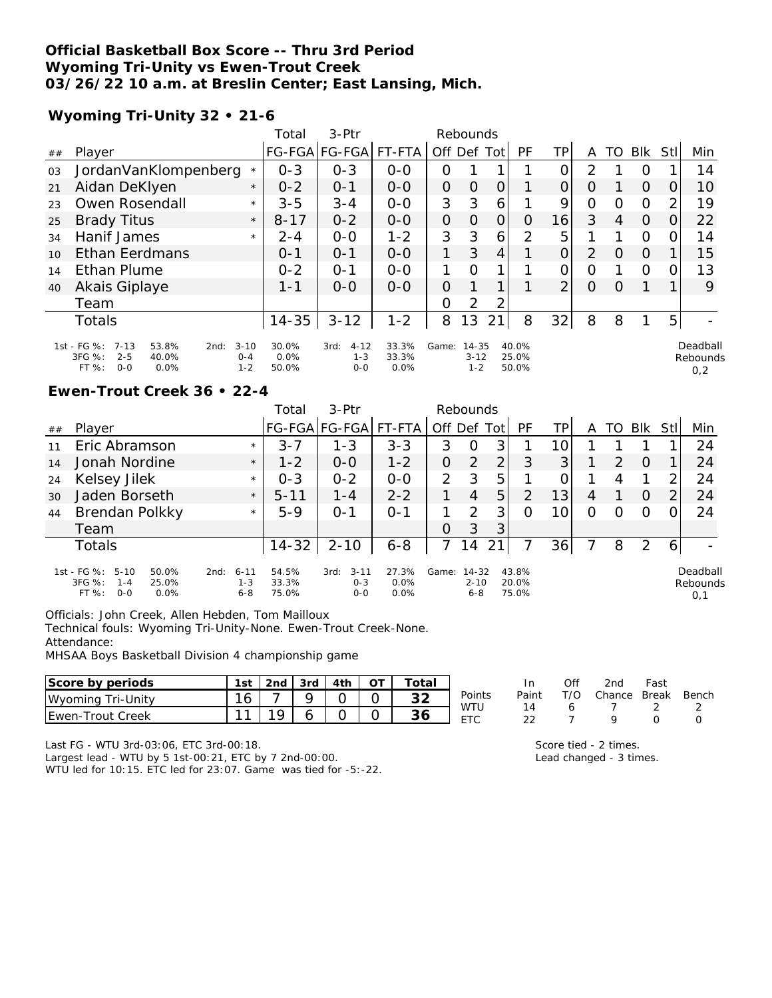### **Official Basketball Box Score -- Thru 3rd Period Wyoming Tri-Unity vs Ewen-Trout Creek 03/26/22 10 a.m. at Breslin Center; East Lansing, Mich.**

## **Wyoming Tri-Unity 32 • 21-6**

|    |                                                                                                                          |          | Total                  | 3-Ptr                                  |                        |          | Rebounds                         |                |                         |                |                |    |             |      |                             |
|----|--------------------------------------------------------------------------------------------------------------------------|----------|------------------------|----------------------------------------|------------------------|----------|----------------------------------|----------------|-------------------------|----------------|----------------|----|-------------|------|-----------------------------|
| ## | Player                                                                                                                   |          |                        | FG-FGA FG-FGA                          | FT-FTA                 | Off Def  |                                  | Totl           | PF                      | ТP             | A              | TO | Blk         | Stll | Min                         |
| 03 | JordanVanKlompenberg                                                                                                     | $\star$  | $0 - 3$                | $0 - 3$                                | $0 - 0$                | O        |                                  |                |                         | 0              | $\mathcal{P}$  |    | Ο           |      | 14                          |
| 21 | Aidan DeKlyen                                                                                                            | $\star$  | $0 - 2$                | $O - 1$                                | $0 - 0$                | $\Omega$ | O                                | $\Omega$       |                         | 0              | 0              |    | $\Omega$    | O    | 10                          |
| 23 | Owen Rosendall                                                                                                           | $\star$  | $3 - 5$                | $3 - 4$                                | $0 - 0$                | 3        | 3                                | 6              |                         | 9              | 0              | Ω  | $\mathbf 0$ | 2    | 19                          |
| 25 | <b>Brady Titus</b>                                                                                                       | $\star$  | $8 - 17$               | $0 - 2$                                | $0 - 0$                | $\Omega$ | $\Omega$                         | $\overline{O}$ | O                       | 16             | 3              | 4  | $\Omega$    | 0    | 22                          |
| 34 | Hanif James                                                                                                              | $\star$  | $2 - 4$                | $0-0$                                  | $1 - 2$                | 3        | 3                                | 6              | 2                       | 5              |                |    | $\circ$     | 0    | 14                          |
| 10 | <b>Ethan Eerdmans</b>                                                                                                    |          | $0 - 1$                | $O - 1$                                | $0 - 0$                |          | 3                                | 4              |                         | 0              | $\overline{2}$ | O  | $\Omega$    |      | 15                          |
| 14 | <b>Ethan Plume</b>                                                                                                       |          | $0 - 2$                | $O - 1$                                | $0-0$                  | 1        | $\Omega$                         |                |                         | 0              | O              |    | $\circ$     | 0    | 13                          |
| 40 | Akais Giplaye                                                                                                            |          | $1 - 1$                | $0 - 0$                                | $0 - 0$                | $\Omega$ |                                  |                |                         | $\overline{2}$ | $\circ$        | O  |             |      | 9                           |
|    | Team                                                                                                                     |          |                        |                                        |                        | O        | 2                                | $\overline{2}$ |                         |                |                |    |             |      |                             |
|    | <b>Totals</b>                                                                                                            |          | $14 - 35$              | $3 - 12$                               | $1 - 2$                | 8        | 13                               | $\overline{2}$ | 8                       | 32             | 8              | 8  |             | 5    |                             |
|    | 1st - FG %:<br>$7 - 13$<br>53.8%<br>2nd:<br>3FG %:<br>$2 - 5$<br>40.0%<br>$0 - 4$<br>FT %:<br>$0 - 0$<br>0.0%<br>$1 - 2$ | $3 - 10$ | 30.0%<br>0.0%<br>50.0% | $4 - 12$<br>3rd:<br>$1 - 3$<br>$0 - 0$ | 33.3%<br>33.3%<br>0.0% | Game:    | $14 - 35$<br>$3 - 12$<br>$1 - 2$ |                | 40.0%<br>25.0%<br>50.0% |                |                |    |             |      | Deadball<br>Rebounds<br>0,2 |

#### **Ewen-Trout Creek 36 • 22-4**

|    |                                                                                            |                                        | Total                   | 3-Ptr                                  |                          |               | Rebounds                         |     |                         |                 |   |    |          |                |                             |
|----|--------------------------------------------------------------------------------------------|----------------------------------------|-------------------------|----------------------------------------|--------------------------|---------------|----------------------------------|-----|-------------------------|-----------------|---|----|----------|----------------|-----------------------------|
| ## | Player                                                                                     |                                        |                         | FG-FGA FG-FGA                          | FT-FTA                   | Off Def       |                                  | Tot | PF                      | TP.             | A | TO | Blk      | Stll           | Min                         |
| 11 | Eric Abramson                                                                              | $\star$                                | $3 - 7$                 | $1 - 3$                                | $3 - 3$                  | 3             | O                                | 3   |                         | 10 <sub>1</sub> |   |    |          |                | 24                          |
| 14 | Jonah Nordine                                                                              | $\star$                                | $1 - 2$                 | $0 - 0$                                | $1 - 2$                  | 0             | 2                                | 2   | 3                       | 3               |   | 2  | O        |                | 24                          |
| 24 | Kelsey Jilek                                                                               | $\star$                                | $0 - 3$                 | $0 - 2$                                | $0 - 0$                  | $\mathcal{P}$ | 3                                | 5   |                         |                 |   | 4  |          | 2              | 24                          |
| 30 | Jaden Borseth                                                                              | $\star$                                | $5 - 11$                | $1 - 4$                                | $2 - 2$                  |               | 4                                | 5   | 2                       | 13              | 4 |    | $\Omega$ | $\overline{2}$ | 24                          |
| 44 | Brendan Polkky                                                                             | $\star$                                | $5-9$                   | $0 - 1$                                | $0 - 1$                  |               | 2                                | 3   | 0                       | 10 <sub>1</sub> | O |    | O        |                | 24                          |
|    | Team                                                                                       |                                        |                         |                                        |                          | $\Omega$      | 3                                | 3   |                         |                 |   |    |          |                |                             |
|    | <b>Totals</b>                                                                              |                                        | $14 - 32$               | $2 - 10$                               | $6 - 8$                  | 7             | 14                               | 21' |                         | 36              |   | 8  | 2        | 6              |                             |
|    | 1st - FG %:<br>$5 - 10$<br>50.0%<br>3FG %:<br>25.0%<br>$1 - 4$<br>FT %:<br>$0 - 0$<br>0.0% | $6 - 11$<br>2nd:<br>$1 - 3$<br>$6 - 8$ | 54.5%<br>33.3%<br>75.0% | $3 - 11$<br>3rd:<br>$0 - 3$<br>$0 - 0$ | 27.3%<br>0.0%<br>$0.0\%$ | Game:         | $14 - 32$<br>$2 - 10$<br>$6 - 8$ |     | 43.8%<br>20.0%<br>75.0% |                 |   |    |          |                | Deadball<br>Rebounds<br>0,1 |

Officials: John Creek, Allen Hebden, Tom Mailloux

Technical fouls: Wyoming Tri-Unity-None. Ewen-Trout Creek-None. Attendance:

MHSAA Boys Basketball Division 4 championship game

| Score by periods  | 1st    | 2nd | 3rd | 4th | `otal       |                   |       | Ofi | 2nd    | Fast  |       |
|-------------------|--------|-----|-----|-----|-------------|-------------------|-------|-----|--------|-------|-------|
| Wyoming Tri-Unity | C      |     |     |     | $\sim$<br>ັ | Points            | Paint | T/C | Chance | Break | Bench |
| Ewen-Trout Creek  | $\sim$ |     |     |     | $\sim$      | WTU<br>ETC<br>ヒーし | ∸     |     |        |       |       |

Last FG - WTU 3rd-03:06, ETC 3rd-00:18. Largest lead - WTU by 5 1st-00:21, ETC by 7 2nd-00:00. WTU led for 10:15. ETC led for 23:07. Game was tied for -5:-22. Score tied - 2 times. Lead changed - 3 times.